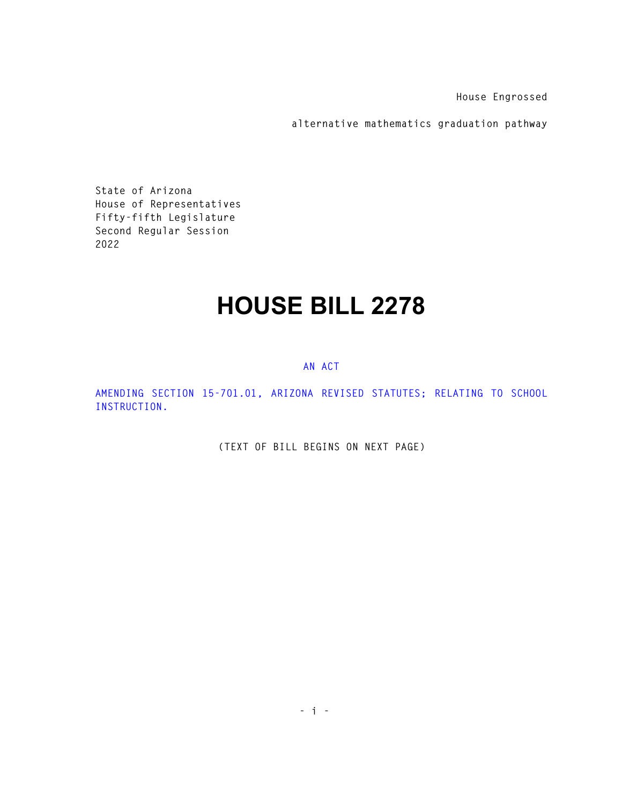**House Engrossed** 

**alternative mathematics graduation pathway** 

**State of Arizona House of Representatives Fifty-fifth Legislature Second Regular Session 2022** 

## **HOUSE BILL 2278**

## **AN ACT**

**AMENDING SECTION 15-701.01, ARIZONA REVISED STATUTES; RELATING TO SCHOOL INSTRUCTION.** 

**(TEXT OF BILL BEGINS ON NEXT PAGE)**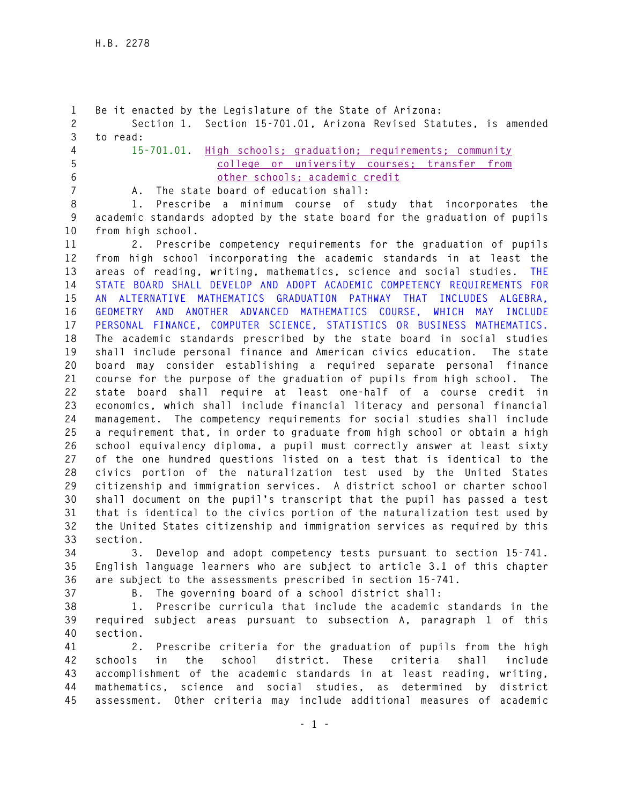**1 Be it enacted by the Legislature of the State of Arizona: 2 Section 1. Section 15-701.01, Arizona Revised Statutes, is amended 3 to read: 4 15-701.01. High schools; graduation; requirements; community 5 college or university courses; transfer from 6 other schools; academic credit 7 A. The state board of education shall: 8 1. Prescribe a minimum course of study that incorporates the 9 academic standards adopted by the state board for the graduation of pupils 10 from high school. 11 2. Prescribe competency requirements for the graduation of pupils 12 from high school incorporating the academic standards in at least the 13 areas of reading, writing, mathematics, science and social studies. THE 14 STATE BOARD SHALL DEVELOP AND ADOPT ACADEMIC COMPETENCY REQUIREMENTS FOR 15 AN ALTERNATIVE MATHEMATICS GRADUATION PATHWAY THAT INCLUDES ALGEBRA, 16 GEOMETRY AND ANOTHER ADVANCED MATHEMATICS COURSE, WHICH MAY INCLUDE 17 PERSONAL FINANCE, COMPUTER SCIENCE, STATISTICS OR BUSINESS MATHEMATICS. 18 The academic standards prescribed by the state board in social studies 19 shall include personal finance and American civics education. The state 20 board may consider establishing a required separate personal finance 21 course for the purpose of the graduation of pupils from high school. The 22 state board shall require at least one-half of a course credit in 23 economics, which shall include financial literacy and personal financial 24 management. The competency requirements for social studies shall include 25 a requirement that, in order to graduate from high school or obtain a high 26 school equivalency diploma, a pupil must correctly answer at least sixty 27 of the one hundred questions listed on a test that is identical to the 28 civics portion of the naturalization test used by the United States 29 citizenship and immigration services. A district school or charter school 30 shall document on the pupil's transcript that the pupil has passed a test 31 that is identical to the civics portion of the naturalization test used by 32 the United States citizenship and immigration services as required by this 33 section. 34 3. Develop and adopt competency tests pursuant to section 15-741. 35 English language learners who are subject to article 3.1 of this chapter 36 are subject to the assessments prescribed in section 15-741. 37 B. The governing board of a school district shall:** 

**38 1. Prescribe curricula that include the academic standards in the 39 required subject areas pursuant to subsection A, paragraph 1 of this 40 section.** 

**41 2. Prescribe criteria for the graduation of pupils from the high 42 schools in the school district. These criteria shall include 43 accomplishment of the academic standards in at least reading, writing, 44 mathematics, science and social studies, as determined by district 45 assessment. Other criteria may include additional measures of academic**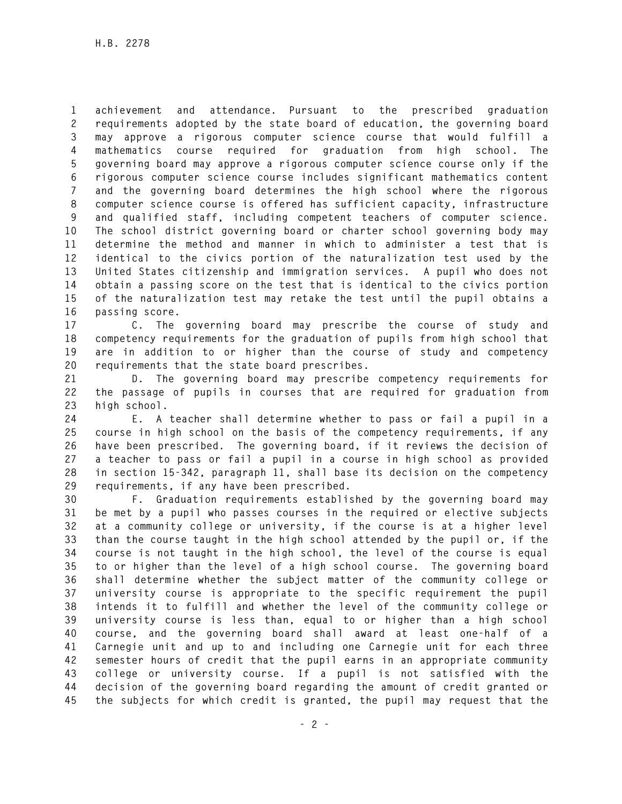**1 achievement and attendance. Pursuant to the prescribed graduation 2 requirements adopted by the state board of education, the governing board 3 may approve a rigorous computer science course that would fulfill a 4 mathematics course required for graduation from high school. The 5 governing board may approve a rigorous computer science course only if the 6 rigorous computer science course includes significant mathematics content 7 and the governing board determines the high school where the rigorous 8 computer science course is offered has sufficient capacity, infrastructure 9 and qualified staff, including competent teachers of computer science. 10 The school district governing board or charter school governing body may 11 determine the method and manner in which to administer a test that is 12 identical to the civics portion of the naturalization test used by the 13 United States citizenship and immigration services. A pupil who does not 14 obtain a passing score on the test that is identical to the civics portion 15 of the naturalization test may retake the test until the pupil obtains a 16 passing score.** 

**17 C. The governing board may prescribe the course of study and 18 competency requirements for the graduation of pupils from high school that 19 are in addition to or higher than the course of study and competency 20 requirements that the state board prescribes.** 

**21 D. The governing board may prescribe competency requirements for 22 the passage of pupils in courses that are required for graduation from 23 high school.** 

**24 E. A teacher shall determine whether to pass or fail a pupil in a 25 course in high school on the basis of the competency requirements, if any 26 have been prescribed. The governing board, if it reviews the decision of 27 a teacher to pass or fail a pupil in a course in high school as provided 28 in section 15-342, paragraph 11, shall base its decision on the competency 29 requirements, if any have been prescribed.** 

**30 F. Graduation requirements established by the governing board may 31 be met by a pupil who passes courses in the required or elective subjects 32 at a community college or university, if the course is at a higher level 33 than the course taught in the high school attended by the pupil or, if the 34 course is not taught in the high school, the level of the course is equal 35 to or higher than the level of a high school course. The governing board 36 shall determine whether the subject matter of the community college or 37 university course is appropriate to the specific requirement the pupil 38 intends it to fulfill and whether the level of the community college or 39 university course is less than, equal to or higher than a high school 40 course, and the governing board shall award at least one-half of a 41 Carnegie unit and up to and including one Carnegie unit for each three 42 semester hours of credit that the pupil earns in an appropriate community 43 college or university course. If a pupil is not satisfied with the 44 decision of the governing board regarding the amount of credit granted or 45 the subjects for which credit is granted, the pupil may request that the**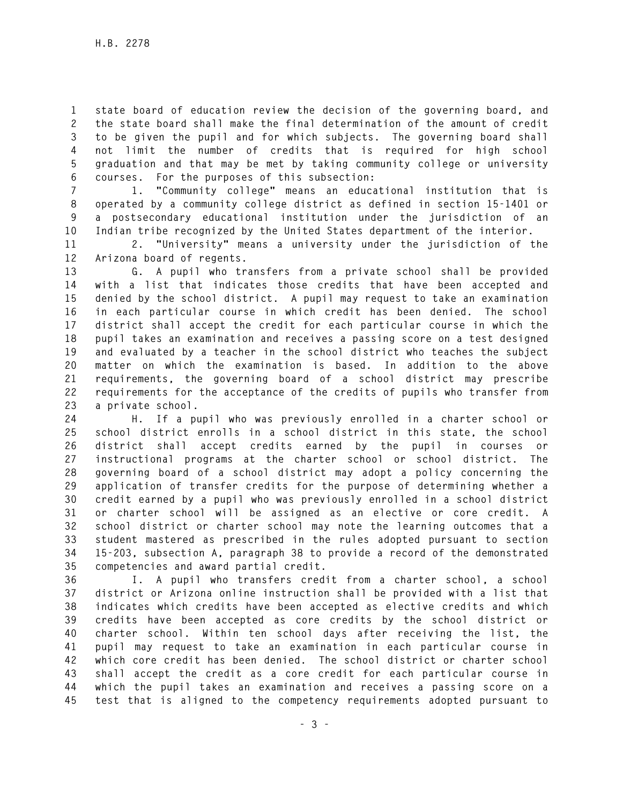**1 state board of education review the decision of the governing board, and 2 the state board shall make the final determination of the amount of credit 3 to be given the pupil and for which subjects. The governing board shall 4 not limit the number of credits that is required for high school 5 graduation and that may be met by taking community college or university 6 courses. For the purposes of this subsection:** 

**7 1. "Community college" means an educational institution that is 8 operated by a community college district as defined in section 15-1401 or 9 a postsecondary educational institution under the jurisdiction of an 10 Indian tribe recognized by the United States department of the interior.** 

**11 2. "University" means a university under the jurisdiction of the 12 Arizona board of regents.** 

**13 G. A pupil who transfers from a private school shall be provided 14 with a list that indicates those credits that have been accepted and 15 denied by the school district. A pupil may request to take an examination 16 in each particular course in which credit has been denied. The school 17 district shall accept the credit for each particular course in which the 18 pupil takes an examination and receives a passing score on a test designed 19 and evaluated by a teacher in the school district who teaches the subject 20 matter on which the examination is based. In addition to the above 21 requirements, the governing board of a school district may prescribe 22 requirements for the acceptance of the credits of pupils who transfer from 23 a private school.** 

**24 H. If a pupil who was previously enrolled in a charter school or 25 school district enrolls in a school district in this state, the school 26 district shall accept credits earned by the pupil in courses or 27 instructional programs at the charter school or school district. The 28 governing board of a school district may adopt a policy concerning the 29 application of transfer credits for the purpose of determining whether a 30 credit earned by a pupil who was previously enrolled in a school district 31 or charter school will be assigned as an elective or core credit. A 32 school district or charter school may note the learning outcomes that a 33 student mastered as prescribed in the rules adopted pursuant to section 34 15-203, subsection A, paragraph 38 to provide a record of the demonstrated 35 competencies and award partial credit.** 

**36 I. A pupil who transfers credit from a charter school, a school 37 district or Arizona online instruction shall be provided with a list that 38 indicates which credits have been accepted as elective credits and which 39 credits have been accepted as core credits by the school district or 40 charter school. Within ten school days after receiving the list, the 41 pupil may request to take an examination in each particular course in 42 which core credit has been denied. The school district or charter school 43 shall accept the credit as a core credit for each particular course in 44 which the pupil takes an examination and receives a passing score on a 45 test that is aligned to the competency requirements adopted pursuant to**